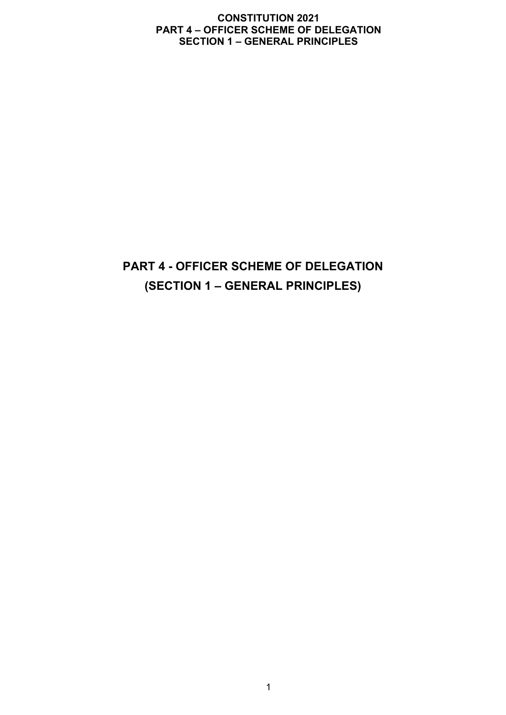# **PART 4 - OFFICER SCHEME OF DELEGATION (SECTION 1 – GENERAL PRINCIPLES)**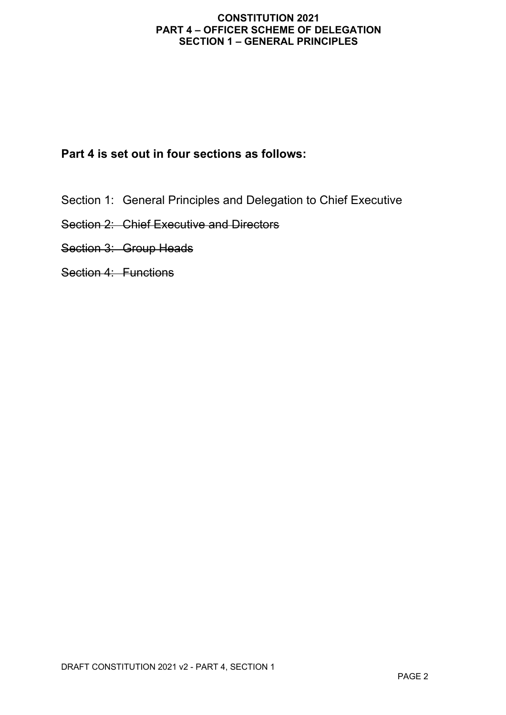## **Part 4 is set out in four sections as follows:**

- Section 1: General Principles and Delegation to Chief Executive
- Section 2: Chief Executive and Directors
- Section 3: Group Heads
- Section 4: Functions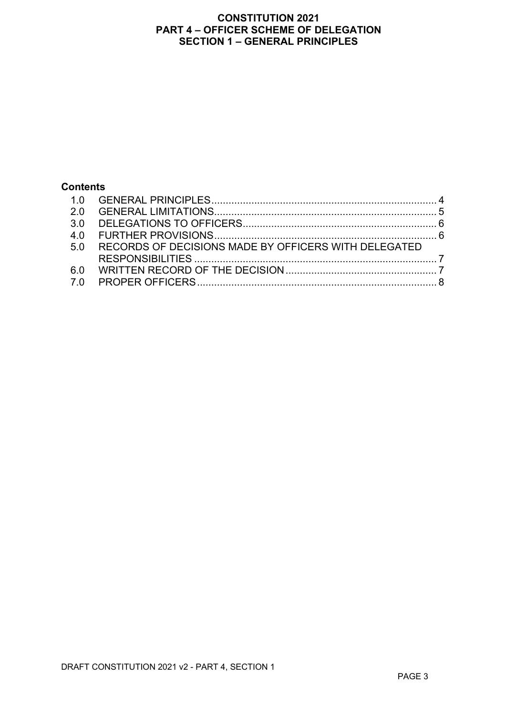## **Contents**

| 5.0 | RECORDS OF DECISIONS MADE BY OFFICERS WITH DELEGATED |  |
|-----|------------------------------------------------------|--|
|     |                                                      |  |
|     |                                                      |  |
|     |                                                      |  |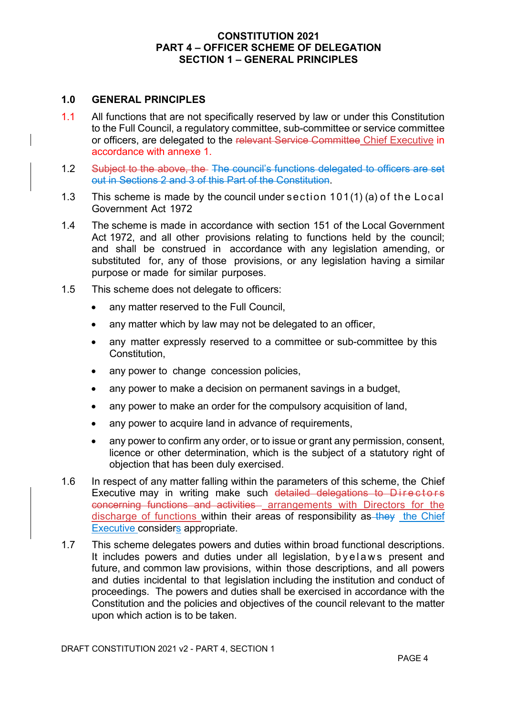#### **1.0 GENERAL PRINCIPLES**

- 1.1 All functions that are not specifically reserved by law or under this Constitution to the Full Council, a regulatory committee, sub-committee or service committee or officers, are delegated to the relevant Service Committee Chief Executive in accordance with annexe 1.
- 1.2 Subject to the above, the The council's functions delegated to officers are set out in Sections 2 and 3 of this Part of the Constitution.
- 1.3 This scheme is made by the council under section 101(1) (a) of the Local Government Act 1972
- 1.4 The scheme is made in accordance with section 151 of the Local Government Act 1972, and all other provisions relating to functions held by the council; and shall be construed in accordance with any legislation amending, or substituted for, any of those provisions, or any legislation having a similar purpose or made for similar purposes.
- 1.5 This scheme does not delegate to officers:
	- any matter reserved to the Full Council,
	- any matter which by law may not be delegated to an officer,
	- any matter expressly reserved to a committee or sub-committee by this Constitution,
	- any power to change concession policies,
	- any power to make a decision on permanent savings in a budget,
	- any power to make an order for the compulsory acquisition of land,
	- any power to acquire land in advance of requirements,
	- any power to confirm any order, or to issue or grant any permission, consent, licence or other determination, which is the subject of a statutory right of objection that has been duly exercised.
- 1.6 In respect of any matter falling within the parameters of this scheme, the Chief Executive may in writing make such detailed delegations to Directors concerning functions and activities arrangements with Directors for the discharge of functions within their areas of responsibility as they the Chief Executive considers appropriate.
- 1.7 This scheme delegates powers and duties within broad functional descriptions. It includes powers and duties under all legislation, byel a ws present and future, and common law provisions, within those descriptions, and all powers and duties incidental to that legislation including the institution and conduct of proceedings. The powers and duties shall be exercised in accordance with the Constitution and the policies and objectives of the council relevant to the matter upon which action is to be taken.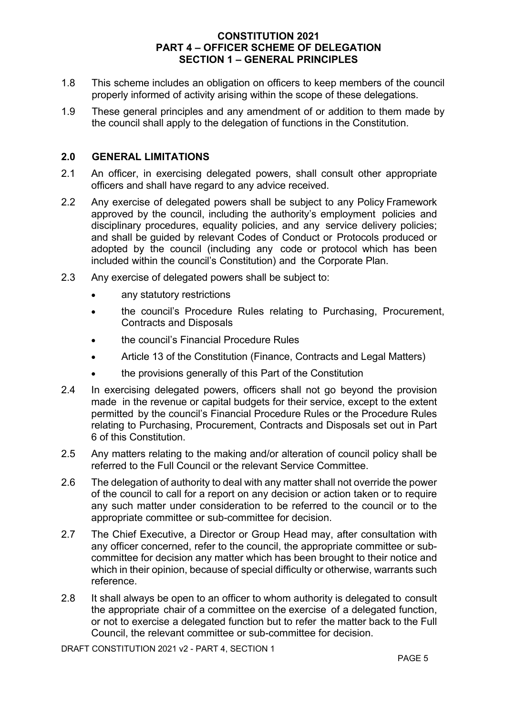- 1.8 This scheme includes an obligation on officers to keep members of the council properly informed of activity arising within the scope of these delegations.
- 1.9 These general principles and any amendment of or addition to them made by the council shall apply to the delegation of functions in the Constitution.

## **2.0 GENERAL LIMITATIONS**

- 2.1 An officer, in exercising delegated powers, shall consult other appropriate officers and shall have regard to any advice received.
- 2.2 Any exercise of delegated powers shall be subject to any Policy Framework approved by the council, including the authority's employment policies and disciplinary procedures, equality policies, and any service delivery policies; and shall be guided by relevant Codes of Conduct or Protocols produced or adopted by the council (including any code or protocol which has been included within the council's Constitution) and the Corporate Plan.
- 2.3 Any exercise of delegated powers shall be subject to:
	- any statutory restrictions
	- the council's Procedure Rules relating to Purchasing, Procurement, Contracts and Disposals
	- the council's Financial Procedure Rules
	- Article 13 of the Constitution (Finance, Contracts and Legal Matters)
	- the provisions generally of this Part of the Constitution
- 2.4 In exercising delegated powers, officers shall not go beyond the provision made in the revenue or capital budgets for their service, except to the extent permitted by the council's Financial Procedure Rules or the Procedure Rules relating to Purchasing, Procurement, Contracts and Disposals set out in Part 6 of this Constitution.
- 2.5 Any matters relating to the making and/or alteration of council policy shall be referred to the Full Council or the relevant Service Committee.
- 2.6 The delegation of authority to deal with any matter shall not override the power of the council to call for a report on any decision or action taken or to require any such matter under consideration to be referred to the council or to the appropriate committee or sub-committee for decision.
- 2.7 The Chief Executive, a Director or Group Head may, after consultation with any officer concerned, refer to the council, the appropriate committee or subcommittee for decision any matter which has been brought to their notice and which in their opinion, because of special difficulty or otherwise, warrants such reference.
- 2.8 It shall always be open to an officer to whom authority is delegated to consult the appropriate chair of a committee on the exercise of a delegated function, or not to exercise a delegated function but to refer the matter back to the Full Council, the relevant committee or sub-committee for decision.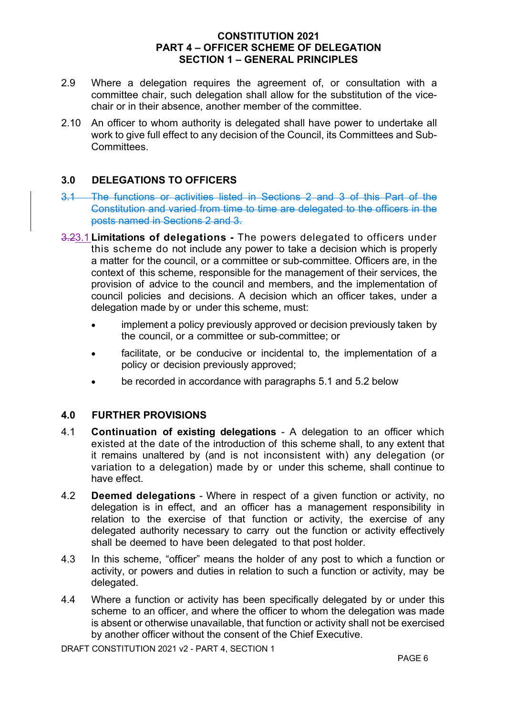- 2.9 Where a delegation requires the agreement of, or consultation with a committee chair, such delegation shall allow for the substitution of the vicechair or in their absence, another member of the committee.
- 2.10 An officer to whom authority is delegated shall have power to undertake all work to give full effect to any decision of the Council, its Committees and Sub-**Committees**

## **3.0 DELEGATIONS TO OFFICERS**

- 3.1 The functions or activities listed in Sections 2 and 3 of this Part of the Constitution and varied from time to time are delegated to the officers in the posts named in Sections 2 and 3.
- 3.23.1 **Limitations of delegations -** The powers delegated to officers under this scheme do not include any power to take a decision which is properly a matter for the council, or a committee or sub-committee. Officers are, in the context of this scheme, responsible for the management of their services, the provision of advice to the council and members, and the implementation of council policies and decisions. A decision which an officer takes, under a delegation made by or under this scheme, must:
	- implement a policy previously approved or decision previously taken by the council, or a committee or sub-committee; or
	- facilitate, or be conducive or incidental to, the implementation of a policy or decision previously approved;
	- be recorded in accordance with paragraphs 5.1 and 5.2 below

#### **4.0 FURTHER PROVISIONS**

- 4.1 **Continuation of existing delegations** A delegation to an officer which existed at the date of the introduction of this scheme shall, to any extent that it remains unaltered by (and is not inconsistent with) any delegation (or variation to a delegation) made by or under this scheme, shall continue to have effect.
- 4.2 **Deemed delegations** Where in respect of a given function or activity, no delegation is in effect, and an officer has a management responsibility in relation to the exercise of that function or activity, the exercise of any delegated authority necessary to carry out the function or activity effectively shall be deemed to have been delegated to that post holder.
- 4.3 In this scheme, "officer" means the holder of any post to which a function or activity, or powers and duties in relation to such a function or activity, may be delegated.
- 4.4 Where a function or activity has been specifically delegated by or under this scheme to an officer, and where the officer to whom the delegation was made is absent or otherwise unavailable, that function or activity shall not be exercised by another officer without the consent of the Chief Executive.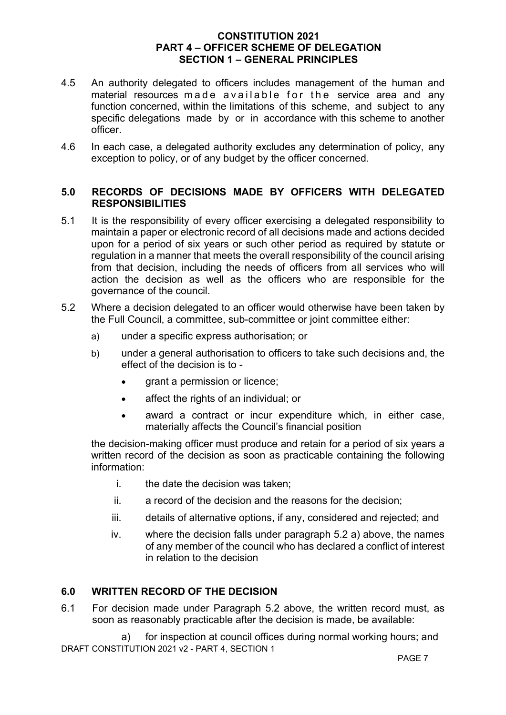- 4.5 An authority delegated to officers includes management of the human and material resources made available for the service area and any function concerned, within the limitations of this scheme, and subject to any specific delegations made by or in accordance with this scheme to another officer.
- 4.6 In each case, a delegated authority excludes any determination of policy, any exception to policy, or of any budget by the officer concerned.

#### **5.0 RECORDS OF DECISIONS MADE BY OFFICERS WITH DELEGATED RESPONSIBILITIES**

- 5.1 It is the responsibility of every officer exercising a delegated responsibility to maintain a paper or electronic record of all decisions made and actions decided upon for a period of six years or such other period as required by statute or regulation in a manner that meets the overall responsibility of the council arising from that decision, including the needs of officers from all services who will action the decision as well as the officers who are responsible for the governance of the council.
- 5.2 Where a decision delegated to an officer would otherwise have been taken by the Full Council, a committee, sub-committee or joint committee either:
	- a) under a specific express authorisation; or
	- b) under a general authorisation to officers to take such decisions and, the effect of the decision is to -
		- grant a permission or licence;
		- affect the rights of an individual; or
		- award a contract or incur expenditure which, in either case, materially affects the Council's financial position

the decision-making officer must produce and retain for a period of six years a written record of the decision as soon as practicable containing the following information:

- i. the date the decision was taken:
- ii. a record of the decision and the reasons for the decision;
- iii. details of alternative options, if any, considered and rejected; and
- iv. where the decision falls under paragraph 5.2 a) above, the names of any member of the council who has declared a conflict of interest in relation to the decision

#### **6.0 WRITTEN RECORD OF THE DECISION**

6.1 For decision made under Paragraph 5.2 above, the written record must, as soon as reasonably practicable after the decision is made, be available:

DRAFT CONSTITUTION 2021 v2 - PART 4, SECTION 1 a) for inspection at council offices during normal working hours; and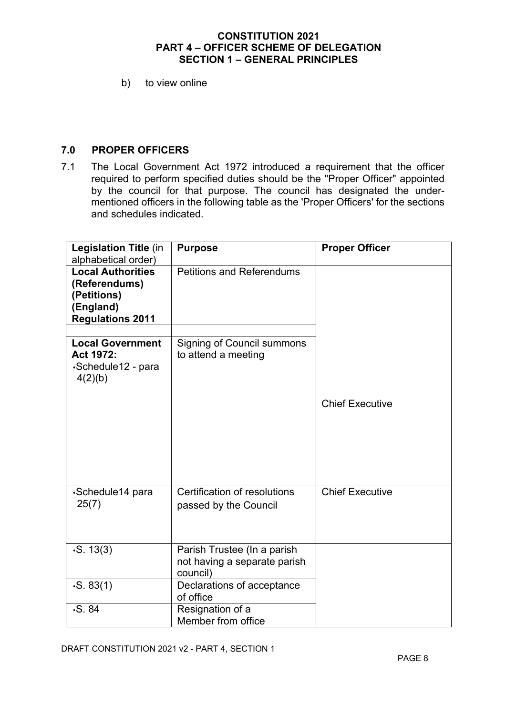b) to view online

## **7.0 PROPER OFFICERS**

7.1 The Local Government Act 1972 introduced a requirement that the officer required to perform specified duties should be the "Proper Officer" appointed by the council for that purpose. The council has designated the undermentioned officers in the following table as the 'Proper Officers' for the sections and schedules indicated.

| <b>Legislation Title (in</b><br>alphabetical order)                                              | <b>Purpose</b>                                                          | <b>Proper Officer</b>  |
|--------------------------------------------------------------------------------------------------|-------------------------------------------------------------------------|------------------------|
| <b>Local Authorities</b><br>(Referendums)<br>(Petitions)<br>(England)<br><b>Regulations 2011</b> | <b>Petitions and Referendums</b>                                        |                        |
| <b>Local Government</b>                                                                          |                                                                         |                        |
| Act 1972:<br>∙Schedule12 - para<br>4(2)(b)                                                       | <b>Signing of Council summons</b><br>to attend a meeting                |                        |
|                                                                                                  |                                                                         | <b>Chief Executive</b> |
|                                                                                                  |                                                                         |                        |
| ⋅Schedule14 para                                                                                 | Certification of resolutions                                            | <b>Chief Executive</b> |
| 25(7)                                                                                            | passed by the Council                                                   |                        |
| $\cdot$ S. 13(3)                                                                                 | Parish Trustee (In a parish<br>not having a separate parish<br>council) |                        |
| $\cdot$ S. 83(1)                                                                                 | Declarations of acceptance<br>of office                                 |                        |
| $\cdot S. 84$                                                                                    | Resignation of a<br>Member from office                                  |                        |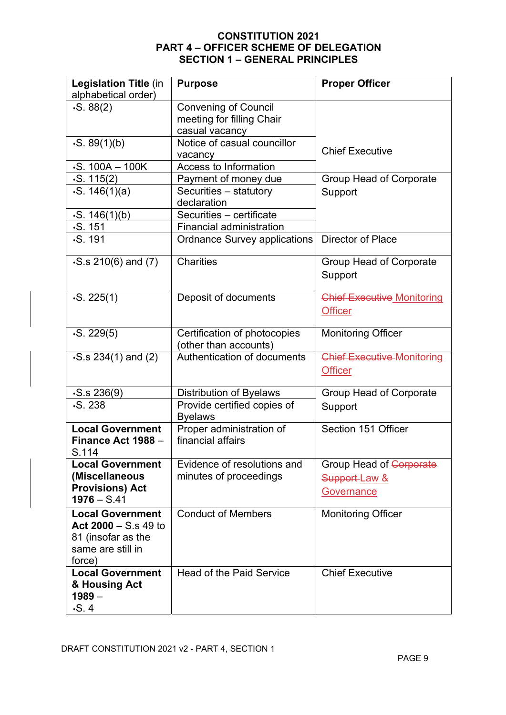| Legislation Title (in<br>alphabetical order)                                                           | <b>Purpose</b>                                                             | <b>Proper Officer</b>                                         |
|--------------------------------------------------------------------------------------------------------|----------------------------------------------------------------------------|---------------------------------------------------------------|
| $\cdot$ S. 88(2)                                                                                       | <b>Convening of Council</b><br>meeting for filling Chair<br>casual vacancy |                                                               |
| $\cdot$ S. 89(1)(b)                                                                                    | Notice of casual councillor<br>vacancy                                     | <b>Chief Executive</b>                                        |
| $-S. 100A - 100K$                                                                                      | Access to Information                                                      |                                                               |
| . S. 115(2)                                                                                            | Payment of money due                                                       | Group Head of Corporate                                       |
| $\cdot$ S. 146(1)(a)                                                                                   | Securities - statutory<br>declaration                                      | Support                                                       |
| $\cdot$ S. 146(1)(b)                                                                                   | Securities - certificate                                                   |                                                               |
| $\cdot$ S. 151                                                                                         | <b>Financial administration</b>                                            |                                                               |
| $\cdot$ S. 191                                                                                         | <b>Ordnance Survey applications</b>                                        | Director of Place                                             |
| $-S.s 210(6)$ and (7)                                                                                  | <b>Charities</b>                                                           | Group Head of Corporate<br>Support                            |
| $\cdot$ S. 225(1)                                                                                      | Deposit of documents                                                       | <b>Chief Executive Monitoring</b><br><b>Officer</b>           |
| $\cdot$ S. 229(5)                                                                                      | Certification of photocopies<br>(other than accounts)                      | <b>Monitoring Officer</b>                                     |
| $\cdot$ S.s 234(1) and (2)                                                                             | Authentication of documents                                                | <b>Chief Executive Monitoring</b><br><b>Officer</b>           |
| $\cdot$ S.s 236(9)                                                                                     | <b>Distribution of Byelaws</b>                                             | Group Head of Corporate                                       |
| $-S.238$                                                                                               | Provide certified copies of<br><b>Byelaws</b>                              | Support                                                       |
| <b>Local Government</b><br>Finance Act 1988 -<br>S.114                                                 | Proper administration of<br>financial affairs                              | Section 151 Officer                                           |
| <b>Local Government</b><br>(Miscellaneous<br><b>Provisions) Act</b><br>$1976 - S.41$                   | Evidence of resolutions and<br>minutes of proceedings                      | Group Head of Corporate<br>Support-Law &<br><b>Governance</b> |
| <b>Local Government</b><br>Act $2000 - S$ s 49 to<br>81 (insofar as the<br>same are still in<br>force) | <b>Conduct of Members</b>                                                  | <b>Monitoring Officer</b>                                     |
| <b>Local Government</b><br>& Housing Act<br>$1989 -$<br>$\cdot$ S. 4                                   | <b>Head of the Paid Service</b>                                            | <b>Chief Executive</b>                                        |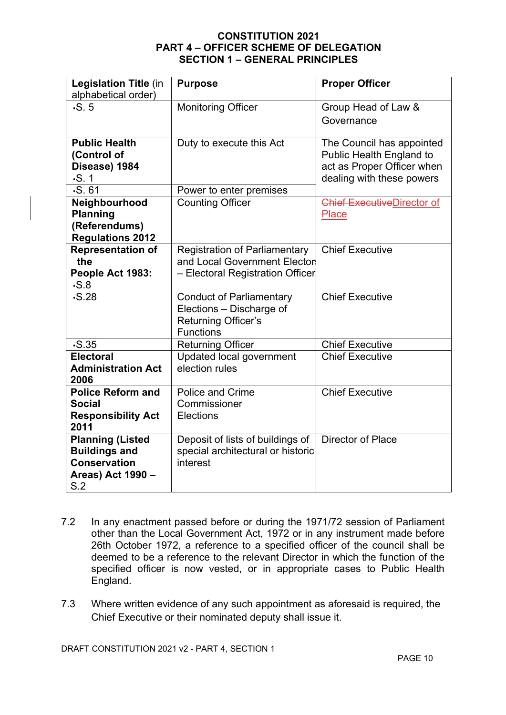| <b>Legislation Title (in</b><br>alphabetical order)                                                | <b>Purpose</b>                                                                                           | <b>Proper Officer</b>                                                                                            |
|----------------------------------------------------------------------------------------------------|----------------------------------------------------------------------------------------------------------|------------------------------------------------------------------------------------------------------------------|
| $\cdot$ S. 5                                                                                       | <b>Monitoring Officer</b>                                                                                | Group Head of Law &<br>Governance                                                                                |
| <b>Public Health</b><br>(Control of<br>Disease) 1984<br>$\cdot$ S. 1<br>$\cdot$ S. 61              | Duty to execute this Act<br>Power to enter premises                                                      | The Council has appointed<br>Public Health England to<br>act as Proper Officer when<br>dealing with these powers |
| Neighbourhood<br><b>Planning</b><br>(Referendums)<br><b>Regulations 2012</b>                       | <b>Counting Officer</b>                                                                                  | Chief ExecutiveDirector of<br><b>Place</b>                                                                       |
| <b>Representation of</b><br>the<br>People Act 1983:<br>$\cdot$ S.8                                 | <b>Registration of Parliamentary</b><br>and Local Government Elector<br>- Electoral Registration Officer | <b>Chief Executive</b>                                                                                           |
| $\cdot$ S.28                                                                                       | <b>Conduct of Parliamentary</b><br>Elections - Discharge of<br>Returning Officer's<br><b>Functions</b>   | <b>Chief Executive</b>                                                                                           |
| $\cdot$ S.35                                                                                       | <b>Returning Officer</b>                                                                                 | <b>Chief Executive</b>                                                                                           |
| <b>Electoral</b><br><b>Administration Act</b><br>2006                                              | Updated local government<br>election rules                                                               | <b>Chief Executive</b>                                                                                           |
| <b>Police Reform and</b><br><b>Social</b><br><b>Responsibility Act</b><br>2011                     | <b>Police and Crime</b><br>Commissioner<br><b>Elections</b>                                              | <b>Chief Executive</b>                                                                                           |
| <b>Planning (Listed</b><br><b>Buildings and</b><br><b>Conservation</b><br>Areas) Act 1990 -<br>S.2 | Deposit of lists of buildings of<br>special architectural or historic<br>interest                        | <b>Director of Place</b>                                                                                         |

- 7.2 In any enactment passed before or during the 1971/72 session of Parliament other than the Local Government Act, 1972 or in any instrument made before 26th October 1972, a reference to a specified officer of the council shall be deemed to be a reference to the relevant Director in which the function of the specified officer is now vested, or in appropriate cases to Public Health England.
- 7.3 Where written evidence of any such appointment as aforesaid is required, the Chief Executive or their nominated deputy shall issue it.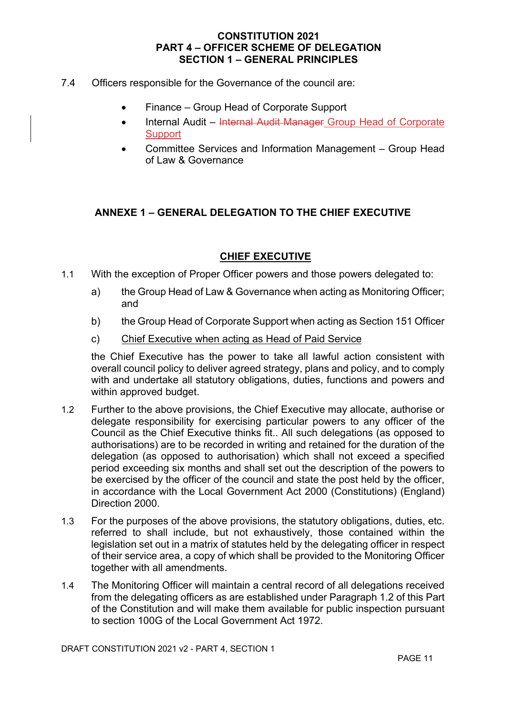- 7.4 Officers responsible for the Governance of the council are:
	- Finance Group Head of Corporate Support
	- Internal Audit Internal Audit Manager Group Head of Corporate **Support**
	- Committee Services and Information Management Group Head of Law & Governance

## **ANNEXE 1 – GENERAL DELEGATION TO THE CHIEF EXECUTIVE**

## **CHIEF EXECUTIVE**

- 1.1 With the exception of Proper Officer powers and those powers delegated to:
	- a) the Group Head of Law & Governance when acting as Monitoring Officer; and
	- b) the Group Head of Corporate Support when acting as Section 151 Officer
	- c) Chief Executive when acting as Head of Paid Service

the Chief Executive has the power to take all lawful action consistent with overall council policy to deliver agreed strategy, plans and policy, and to comply with and undertake all statutory obligations, duties, functions and powers and within approved budget.

- 1.2 Further to the above provisions, the Chief Executive may allocate, authorise or delegate responsibility for exercising particular powers to any officer of the Council as the Chief Executive thinks fit.. All such delegations (as opposed to authorisations) are to be recorded in writing and retained for the duration of the delegation (as opposed to authorisation) which shall not exceed a specified period exceeding six months and shall set out the description of the powers to be exercised by the officer of the council and state the post held by the officer, in accordance with the Local Government Act 2000 (Constitutions) (England) Direction 2000.
- 1.3 For the purposes of the above provisions, the statutory obligations, duties, etc. referred to shall include, but not exhaustively, those contained within the legislation set out in a matrix of statutes held by the delegating officer in respect of their service area, a copy of which shall be provided to the Monitoring Officer together with all amendments.
- 1.4 The Monitoring Officer will maintain a central record of all delegations received from the delegating officers as are established under Paragraph 1.2 of this Part of the Constitution and will make them available for public inspection pursuant to section 100G of the Local Government Act 1972.